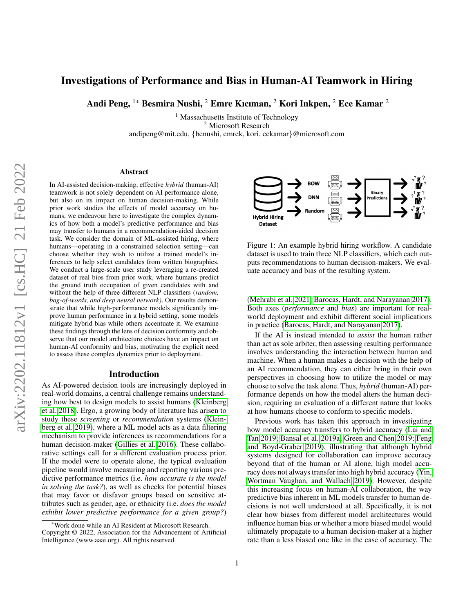# Investigations of Performance and Bias in Human-AI Teamwork in Hiring

Andi Peng, 1\* Besmira Nushi, <sup>2</sup> Emre Kıcıman, <sup>2</sup> Kori Inkpen, <sup>2</sup> Ece Kamar <sup>2</sup>

<sup>1</sup> Massachusetts Institute of Technology <sup>2</sup> Microsoft Research andipeng@mit.edu, {benushi, emrek, kori, eckamar}@microsoft.com

#### Abstract

In AI-assisted decision-making, effective *hybrid* (human-AI) teamwork is not solely dependent on AI performance alone, but also on its impact on human decision-making. While prior work studies the effects of model accuracy on humans, we endeavour here to investigate the complex dynamics of how both a model's predictive performance and bias may transfer to humans in a recommendation-aided decision task. We consider the domain of ML-assisted hiring, where humans—operating in a constrained selection setting—can choose whether they wish to utilize a trained model's inferences to help select candidates from written biographies. We conduct a large-scale user study leveraging a re-created dataset of real bios from prior work, where humans predict the ground truth occupation of given candidates with and without the help of three different NLP classifiers (*random, bag-of-words, and deep neural network)*. Our results demonstrate that while high-performance models significantly improve human performance in a hybrid setting, some models mitigate hybrid bias while others accentuate it. We examine these findings through the lens of decision conformity and observe that our model architecture choices have an impact on human-AI conformity and bias, motivating the explicit need to assess these complex dynamics prior to deployment.

#### Introduction

As AI-powered decision tools are increasingly deployed in real-world domains, a central challenge remains understanding how best to design models to assist humans [\(Kleinberg](#page-8-0) [et al. 2018\)](#page-8-0). Ergo, a growing body of literature has arisen to study these *screening* or *recommendation* systems [\(Klein](#page-8-1)[berg et al. 2019\)](#page-8-1), where a ML model acts as a data filtering mechanism to provide inferences as recommendations for a human decision-maker [\(Gillies et al. 2016\)](#page-7-0). These collaborative settings call for a different evaluation process prior. If the model were to operate alone, the typical evaluation pipeline would involve measuring and reporting various predictive performance metrics (i.e. *how accurate is the model in solving the task?*), as well as checks for potential biases that may favor or disfavor groups based on sensitive attributes such as gender, age, or ethnicity (i.e. *does the model exhibit lower predictive performance for a given group?*)

<span id="page-0-0"></span>

Figure 1: An example hybrid hiring workflow. A candidate dataset is used to train three NLP classifiers, which each outputs recommendations to human decision-makers. We evaluate accuracy and bias of the resulting system.

[\(Mehrabi et al. 2021;](#page-8-2) [Barocas, Hardt, and Narayanan 2017\)](#page-7-1). Both axes (*performance* and *bias*) are important for realworld deployment and exhibit different social implications in practice [\(Barocas, Hardt, and Narayanan 2017\)](#page-7-1).

If the AI is instead intended to *assist* the human rather than act as sole arbiter, then assessing resulting performance involves understanding the interaction between human and machine. When a human makes a decision with the help of an AI recommendation, they can either bring in their own perspectives in choosing how to utilize the model or may choose to solve the task alone. Thus, *hybrid* (human-AI) performance depends on how the model alters the human decision, requiring an evaluation of a different nature that looks at how humans choose to conform to specific models.

Previous work has taken this approach in investigating how model accuracy transfers to hybrid accuracy [\(Lai and](#page-8-3) [Tan 2019;](#page-8-3) [Bansal et al. 2019a;](#page-7-2) [Green and Chen 2019;](#page-7-3) [Feng](#page-7-4) [and Boyd-Graber 2019\)](#page-7-4), illustrating that although hybrid systems designed for collaboration can improve accuracy beyond that of the human or AI alone, high model accuracy does not always transfer into high hybrid accuracy [\(Yin,](#page-8-4) [Wortman Vaughan, and Wallach 2019\)](#page-8-4). However, despite this increasing focus on human-AI collaboration, the way predictive bias inherent in ML models transfer to human decisions is not well understood at all. Specifically, it is not clear how biases from different model architectures would influence human bias or whether a more biased model would ultimately propagate to a human decision-maker at a higher rate than a less biased one like in the case of accuracy. The

<sup>\*</sup>Work done while an AI Resident at Microsoft Research.

Copyright © 2022, Association for the Advancement of Artificial Intelligence (www.aaai.org). All rights reserved.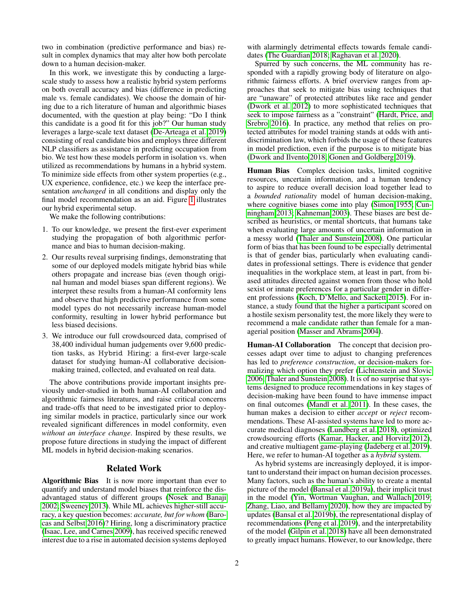two in combination (predictive performance and bias) result in complex dynamics that may alter how both percolate down to a human decision-maker.

In this work, we investigate this by conducting a largescale study to assess how a realistic hybrid system performs on both overall accuracy and bias (difference in predicting male vs. female candidates). We choose the domain of hiring due to a rich literature of human and algorithmic biases documented, with the question at play being: "Do I think this candidate is a good fit for this job?" Our human study leverages a large-scale text dataset [\(De-Arteaga et al. 2019\)](#page-7-5) consisting of real candidate bios and employs three different NLP classifiers as assistance in predicting occupation from bio. We test how these models perform in isolation vs. when utilized as recommendations by humans in a hybrid system. To minimize side effects from other system properties (e.g., UX experience, confidence, etc.) we keep the interface presentation *unchanged* in all conditions and display only the final model recommendation as an aid. Figure [1](#page-0-0) illustrates our hybrid experimental setup.

We make the following contributions:

- 1. To our knowledge, we present the first-ever experiment studying the propagation of both algorithmic performance and bias to human decision-making.
- 2. Our results reveal surprising findings, demonstrating that some of our deployed models mitigate hybrid bias while others propagate and increase bias (even though original human and model biases span different regions). We interpret these results from a human-AI conformity lens and observe that high predictive performance from some model types do not necessarily increase human-model conformity, resulting in lower hybrid performance but less biased decisions.
- 3. We introduce our full crowdsourced data, comprised of 38,400 individual human judgements over 9,600 prediction tasks, as Hybrid Hiring: a first-ever large-scale dataset for studying human-AI collaborative decisionmaking trained, collected, and evaluated on real data.

The above contributions provide important insights previously under-studied in both human-AI collaboration and algorithmic fairness literatures, and raise critical concerns and trade-offs that need to be investigated prior to deploying similar models in practice, particularly since our work revealed significant differences in model conformity, even *without an interface change*. Inspired by these results, we propose future directions in studying the impact of different ML models in hybrid decision-making scenarios.

# Related Work

Algorithmic Bias It is now more important than ever to quantify and understand model biases that reinforce the disadvantaged status of different groups [\(Nosek and Banaji](#page-8-5) [2002;](#page-8-5) [Sweeney 2013\)](#page-8-6). While ML achieves higher-still accuracy, a key question becomes: *accurate, but for whom* [\(Baro](#page-7-6)[cas and Selbst 2016\)](#page-7-6)? Hiring, long a discriminatory practice [\(Isaac, Lee, and Carnes 2009\)](#page-8-7), has received specific renewed interest due to a rise in automated decision systems deployed

with alarmingly detrimental effects towards female candidates [\(The Guardian 2018;](#page-8-8) [Raghavan et al. 2020\)](#page-8-9).

Spurred by such concerns, the ML community has responded with a rapidly growing body of literature on algorithmic fairness efforts. A brief overview ranges from approaches that seek to mitigate bias using techniques that are "unaware" of protected attributes like race and gender [\(Dwork et al. 2012\)](#page-7-7) to more sophisticated techniques that seek to impose fairness as a "constraint" [\(Hardt, Price, and](#page-7-8) [Srebro 2016\)](#page-7-8). In practice, any method that relies on protected attributes for model training stands at odds with antidiscrimination law, which forbids the usage of these features in model prediction, even if the purpose is to mitigate bias [\(Dwork and Ilvento 2018;](#page-7-9) [Gonen and Goldberg 2019\)](#page-7-10).

Human Bias Complex decision tasks, limited cognitive resources, uncertain information, and a human tendency to aspire to reduce overall decision load together lead to a *bounded rationality* model of human decision-making, where cognitive biases come into play [\(Simon 1955;](#page-8-10) [Cun](#page-7-11)[ningham 2013;](#page-7-11) [Kahneman 2003\)](#page-8-11). These biases are best described as heuristics, or mental shortcuts, that humans take when evaluating large amounts of uncertain information in a messy world [\(Thaler and Sunstein 2008\)](#page-8-12). One particular form of bias that has been found to be especially detrimental is that of gender bias, particularly when evaluating candidates in professional settings. There is evidence that gender inequalities in the workplace stem, at least in part, from biased attitudes directed against women from those who hold sexist or innate preferences for a particular gender in different professions [\(Koch, D'Mello, and Sackett 2015\)](#page-8-13). For instance, a study found that the higher a participant scored on a hostile sexism personality test, the more likely they were to recommend a male candidate rather than female for a managerial position [\(Masser and Abrams 2004\)](#page-8-14).

Human-AI Collaboration The concept that decision processes adapt over time to adjust to changing preferences has led to *preference construction*, or decision-makers formalizing which option they prefer [\(Lichtenstein and Slovic](#page-8-15) [2006;](#page-8-15) [Thaler and Sunstein 2008\)](#page-8-12). It is of no surprise that systems designed to produce recommendations in key stages of decision-making have been found to have immense impact on final outcomes [\(Mandl et al. 2011\)](#page-8-16). In these cases, the human makes a decision to either *accept* or *reject* recommendations. These AI-assisted systems have led to more accurate medical diagnoses [\(Lundberg et al. 2018\)](#page-8-17), optimized crowdsourcing efforts [\(Kamar, Hacker, and Horvitz 2012\)](#page-8-18), and creative multiagent game-playing [\(Jadeberg et al. 2019\)](#page-8-19). Here, we refer to human-AI together as a *hybrid* system.

As hybrid systems are increasingly deployed, it is important to understand their impact on human decision processes. Many factors, such as the human's ability to create a mental picture of the model [\(Bansal et al. 2019a\)](#page-7-2), their implicit trust in the model [\(Yin, Wortman Vaughan, and Wallach 2019;](#page-8-4) [Zhang, Liao, and Bellamy 2020\)](#page-8-20), how they are impacted by updates [\(Bansal et al. 2019b\)](#page-7-12), the representational display of recommendations [\(Peng et al. 2019\)](#page-8-21), and the interpretability of the model [\(Gilpin et al. 2018\)](#page-7-13) have all been demonstrated to greatly impact humans. However, to our knowledge, there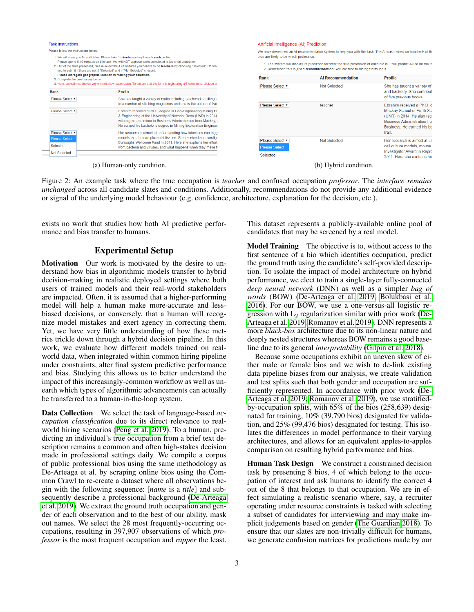| <b>Task Instructions</b>                                                                                                                                                                                                                                                                                                                                                                                                                                                                                                                               |                                                                                                                                                                                                                                                                                                                                        | Artificial Intelligence (AI) Prediction:                                                                                                                                                                                                                                                                                                                                |                          |                                                                                                                                                            |
|--------------------------------------------------------------------------------------------------------------------------------------------------------------------------------------------------------------------------------------------------------------------------------------------------------------------------------------------------------------------------------------------------------------------------------------------------------------------------------------------------------------------------------------------------------|----------------------------------------------------------------------------------------------------------------------------------------------------------------------------------------------------------------------------------------------------------------------------------------------------------------------------------------|-------------------------------------------------------------------------------------------------------------------------------------------------------------------------------------------------------------------------------------------------------------------------------------------------------------------------------------------------------------------------|--------------------------|------------------------------------------------------------------------------------------------------------------------------------------------------------|
| Please follow the instructions below:<br>1. We will show you 8 candidates. Please take 1 minute reading through each profile.<br>Please spend 5-10 minutes on this task. We will NOT approve tasks completed in too short a duration.<br>2. Out of the slate presented, please select the 4 candidates you believe to be teachers by choosing "Selected". Choose<br>vou to submit if there are not 4 "Selected" and 4 "Not Selected" chosen).<br>Please disregard geographic location in making your selection.<br>3. Complete the brief survey below. |                                                                                                                                                                                                                                                                                                                                        | We have developed an AI recommendaton system to help you with this task. The AI was trained on hundreds of th<br>bios are likely to be which profession.<br>1. The system will display its prediction for what the true profession of each bio is. It will predict 4/8 to be the tr<br>2. Remember: this is just a recommendation. You are free to disregard its input. |                          |                                                                                                                                                            |
|                                                                                                                                                                                                                                                                                                                                                                                                                                                                                                                                                        |                                                                                                                                                                                                                                                                                                                                        | Rank                                                                                                                                                                                                                                                                                                                                                                    | <b>Al Recommendation</b> | <b>Profile</b>                                                                                                                                             |
| Rank<br>Please Select v                                                                                                                                                                                                                                                                                                                                                                                                                                                                                                                                | 4. Note: sometimes, the survey will not allow submission. To ensure that the form is registering 4/8 selections, click on ea<br>Profile<br>She has taught a variety of crafts including patchwork, quilting, a                                                                                                                         | Please Select v                                                                                                                                                                                                                                                                                                                                                         | Not Selected             | She has taught a variety of<br>and basketry. She contribut<br>of five previous books.                                                                      |
| Please Select v                                                                                                                                                                                                                                                                                                                                                                                                                                                                                                                                        | to a number of stitching magazines and she is the author of five<br>Ebrahim received a Ph.D. degree in Geo-Engineering/Mining Er<br>& Engineering at the University of Nevada, Reno (UNR) in 2014<br>with a graduate minor in Business Administration from Mackay, a<br>He earned his bachelor's degree in Mining-Exploration Engineer | Please Select v                                                                                                                                                                                                                                                                                                                                                         | teacher                  | Ebrahim received a Ph D d<br>Mackay School of Earth Sci<br>(UNR) in 2014. He also rec-<br><b>Business Administration fro</b><br>Business, He earned his ba |
| Please Select<br><b>Please Select</b><br>Selected<br><b>Not Selected</b>                                                                                                                                                                                                                                                                                                                                                                                                                                                                               | Her research is aimed at understanding how infections can trigg<br>models, and human placental tissues. She received an Investigation<br>Burroughs Wellcome Fund in 2011. Here she explains her effort<br>from bacteria and viruses, and what happens when they make th                                                                | Please Select v<br><b>Please Select</b><br>Selected                                                                                                                                                                                                                                                                                                                     | Not Selected             | Iran<br>Her research is aimed at ur<br>cell culture models, mouse<br><b>Investigator Award in Repro</b><br>2011 Here she explains he                       |
|                                                                                                                                                                                                                                                                                                                                                                                                                                                                                                                                                        | (a) Human-only condition.                                                                                                                                                                                                                                                                                                              |                                                                                                                                                                                                                                                                                                                                                                         | (b) Hybrid condition.    |                                                                                                                                                            |

Figure 2: An example task where the true occupation is *teacher* and confused occupation *professor*. The *interface remains unchanged* across all candidate slates and conditions. Additionally, recommendations do not provide any additional evidence or signal of the underlying model behaviour (e.g. confidence, architecture, explanation for the decision, etc.).

exists no work that studies how both AI predictive performance and bias transfer to humans.

# Experimental Setup

Motivation Our work is motivated by the desire to understand how bias in algorithmic models transfer to hybrid decision-making in realistic deployed settings where both users of trained models and their real-world stakeholders are impacted. Often, it is assumed that a higher-performing model will help a human make more-accurate and lessbiased decisions, or conversely, that a human will recognize model mistakes and exert agency in correcting them. Yet, we have very little understanding of how these metrics trickle down through a hybrid decision pipeline. In this work, we evaluate how different models trained on realworld data, when integrated within common hiring pipeline under constraints, alter final system predictive performance and bias. Studying this allows us to better understand the impact of this increasingly-common workflow as well as unearth which types of algorithmic advancements can actually be transferred to a human-in-the-loop system.

Data Collection We select the task of language-based *occupation classification* due to its direct relevance to realworld hiring scenarios [\(Peng et al. 2019\)](#page-8-21). To a human, predicting an individual's true occupation from a brief text description remains a common and often high-stakes decision made in professional settings daily. We compile a corpus of public professional bios using the same methodology as De-Arteaga et al. by scraping online bios using the Common Crawl to re-create a dataset where all observations begin with the following sequence: [*name* is a *title*] and subsequently describe a professional background [\(De-Arteaga](#page-7-5) [et al. 2019\)](#page-7-5). We extract the ground truth occupation and gender of each observation and to the best of our ability, mask out names. We select the 28 most frequently-occurring occupations, resulting in 397,907 observations of which *professor* is the most frequent occupation and *rapper* the least.

This dataset represents a publicly-available online pool of candidates that may be screened by a real model.

Model Training The objective is to, without access to the first sentence of a bio which identifies occupation, predict the ground truth using the candidate's self-provided description. To isolate the impact of model architecture on hybrid performance, we elect to train a single-layer fully-connected *deep neural network* (DNN) as well as a simpler *bag of words* (BOW) [\(De-Arteaga et al. 2019;](#page-7-5) [Bolukbasi et al.](#page-7-14) [2016\)](#page-7-14). For our BOW, we use a one-versus-all logistic regression with  $L_2$  regularization similar with prior work [\(De-](#page-7-5)[Arteaga et al. 2019;](#page-7-5) [Romanov et al. 2019\)](#page-8-22). DNN represents a more *black-box* architecture due to its non-linear nature and deeply nested structures whereas BOW remains a good baseline due to its general *interpretability* [\(Gilpin et al. 2018\)](#page-7-13).

Because some occupations exhibit an uneven skew of either male or female bios and we wish to de-link existing data pipeline biases from our analysis, we create validation and test splits such that both gender and occupation are sufficiently represented. In accordance with prior work [\(De-](#page-7-5)[Arteaga et al. 2019;](#page-7-5) [Romanov et al. 2019\)](#page-8-22), we use stratifiedby-occupation splits, with 65% of the bios (258,639) designated for training, 10% (39,790 bios) designated for validation, and 25% (99,476 bios) designated for testing. This isolates the differences in model performance to their varying architectures, and allows for an equivalent apples-to-apples comparison on resulting hybrid performance and bias.

Human Task Design We construct a constrained decision task by presenting 8 bios, 4 of which belong to the occupation of interest and ask humans to identify the correct 4 out of the 8 that belongs to that occupation. We are in effect simulating a realistic scenario where, say, a recruiter operating under resource constraints is tasked with selecting a subset of candidates for interviewing and may make implicit judgements based on gender [\(The Guardian 2018\)](#page-8-8). To ensure that our slates are non-trivially difficult for humans, we generate confusion matrices for predictions made by our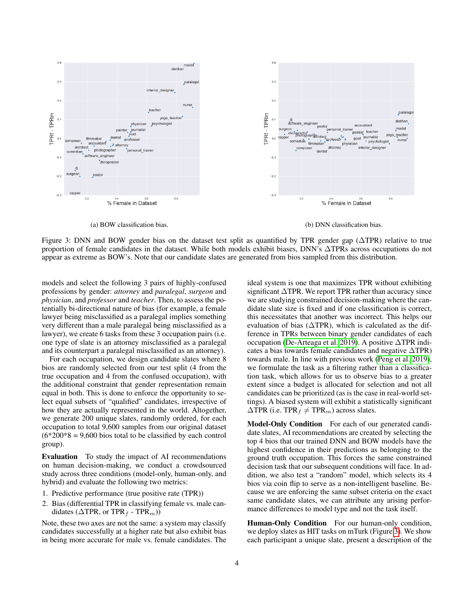<span id="page-3-0"></span>

(a) BOW classification bias. (b) DNN classification bias.

Figure 3: DNN and BOW gender bias on the dataset test split as quantified by TPR gender gap (∆TPR) relative to true proportion of female candidates in the dataset. While both models exhibit biases, DNN's ∆TPRs across occupations do not appear as extreme as BOW's. Note that our candidate slates are generated from bios sampled from this distribution.

models and select the following 3 pairs of highly-confused professions by gender: *attorney* and *paralegal*, *surgeon* and *physician*, and *professor* and *teacher*. Then, to assess the potentially bi-directional nature of bias (for example, a female lawyer being misclassified as a paralegal implies something very different than a male paralegal being misclassified as a lawyer), we create 6 tasks from these 3 occupation pairs (i.e. one type of slate is an attorney misclassified as a paralegal and its counterpart a paralegal misclassified as an attorney).

For each occupation, we design candidate slates where 8 bios are randomly selected from our test split (4 from the true occupation and 4 from the confused occupation), with the additional constraint that gender representation remain equal in both. This is done to enforce the opportunity to select equal subsets of "qualified" candidates, irrespective of how they are actually represented in the world. Altogether, we generate 200 unique slates, randomly ordered, for each occupation to total 9,600 samples from our original dataset  $(6*200*8 = 9,600$  bios total to be classified by each control group).

Evaluation To study the impact of AI recommendations on human decision-making, we conduct a crowdsourced study across three conditions (model-only, human-only, and hybrid) and evaluate the following two metrics:

- 1. Predictive performance (true positive rate (TPR))
- 2. Bias (differential TPR in classifying female vs. male candidates ( $\triangle$ TPR, or TPR<sub>f</sub> - TPR<sub>m</sub>))

Note, these two axes are not the same: a system may classify candidates successfully at a higher rate but also exhibit bias in being more accurate for male vs. female candidates. The

ideal system is one that maximizes TPR without exhibiting significant ∆TPR. We report TPR rather than accuracy since we are studying constrained decision-making where the candidate slate size is fixed and if one classification is correct, this necessitates that another was incorrect. This helps our evaluation of bias ( $\triangle$ TPR), which is calculated as the difference in TPRs between binary gender candidates of each occupation [\(De-Arteaga et al. 2019\)](#page-7-5). A positive ∆TPR indicates a bias towards female candidates and negative ∆TPR) towards male. In line with previous work [\(Peng et al. 2019\)](#page-8-21), we formulate the task as a filtering rather than a classification task, which allows for us to observe bias to a greater extent since a budget is allocated for selection and not all candidates can be prioritized (as is the case in real-world settings). A biased system will exhibit a statistically significant  $\triangle$ TPR (i.e. TPR<sub>f</sub>  $\neq$  TPR<sub>m</sub>) across slates.

Model-Only Condition For each of our generated candidate slates, AI recommendations are created by selecting the top 4 bios that our trained DNN and BOW models have the highest confidence in their predictions as belonging to the ground truth occupation. This forces the same constrained decision task that our subsequent conditions will face. In addition, we also test a "random" model, which selects its 4 bios via coin flip to serve as a non-intelligent baseline. Because we are enforcing the same subset criteria on the exact same candidate slates, we can attribute any arising performance differences to model type and not the task itself.

Human-Only Condition For our human-only condition, we deploy slates as HIT tasks on mTurk (Figure [3\)](#page-3-0). We show each participant a unique slate, present a description of the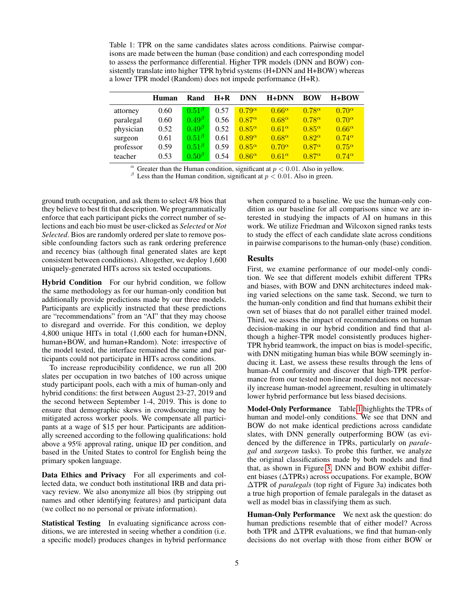<span id="page-4-0"></span>Table 1: TPR on the same candidates slates across conditions. Pairwise comparisons are made between the human (base condition) and each corresponding model to assess the performance differential. Higher TPR models (DNN and BOW) consistently translate into higher TPR hybrid systems (H+DNN and H+BOW) whereas a lower TPR model (Random) does not impede performance (H+R).

|           | Human | Rand           | $H+R$ | <b>DNN</b>      | $H+DNN$         | <b>BOW</b>      | $H+BOW$         |
|-----------|-------|----------------|-------|-----------------|-----------------|-----------------|-----------------|
| attorney  | 0.60  | $0.51^{B}$     | 0.57  | $0.79^{\alpha}$ | $0.66^{\alpha}$ | $0.78^{\alpha}$ | $0.70^\alpha$   |
| paralegal | 0.60  | $0.49^{\beta}$ | 0.56  | $0.87^{\alpha}$ | $0.68^{\alpha}$ | $0.78^{\alpha}$ | $0.70^\alpha$   |
| physician | 0.52  | $0.49^{\beta}$ | 0.52  | $0.85^\alpha$   | $0.61^\alpha$   | $0.85^\alpha$   | $0.66^{\alpha}$ |
| surgeon   | 0.61  | $0.51^{\beta}$ | 0.61  | $0.89^\alpha$   | $0.68^{\alpha}$ | $0.82^{\alpha}$ | $0.74^{\alpha}$ |
| professor | 0.59  | $0.51\beta$    | 0.59  | $0.85^\alpha$   | $0.70^\alpha$   | $0.87^\alpha$   | $0.75^{\alpha}$ |
| teacher   | 0.53  | $0.50^{\beta}$ | 0.54  | $0.86^\alpha$   | $0.61^{\alpha}$ | $0.87^\alpha$   | $0.74^{\alpha}$ |

 $\alpha$  Greater than the Human condition, significant at  $p < 0.01$ . Also in yellow.

<sup>β</sup> Less than the Human condition, significant at  $p < 0.01$ . Also in green.

ground truth occupation, and ask them to select 4/8 bios that they believe to best fit that description. We programmatically enforce that each participant picks the correct number of selections and each bio must be user-clicked as *Selected* or *Not Selected*. Bios are randomly ordered per slate to remove possible confounding factors such as rank ordering preference and recency bias (although final generated slates are kept consistent between conditions). Altogether, we deploy 1,600 uniquely-generated HITs across six tested occupations.

Hybrid Condition For our hybrid condition, we follow the same methodology as for our human-only condition but additionally provide predictions made by our three models. Participants are explicitly instructed that these predictions are "recommendations" from an "AI" that they may choose to disregard and override. For this condition, we deploy 4,800 unique HITs in total (1,600 each for human+DNN, human+BOW, and human+Random). Note: irrespective of the model tested, the interface remained the same and participants could not participate in HITs across conditions.

To increase reproducibility confidence, we run all 200 slates per occupation in two batches of 100 across unique study participant pools, each with a mix of human-only and hybrid conditions: the first between August 23-27, 2019 and the second between September 1-4, 2019. This is done to ensure that demographic skews in crowdsourcing may be mitigated across worker pools. We compensate all participants at a wage of \$15 per hour. Participants are additionally screened according to the following qualifications: hold above a 95% approval rating, unique ID per condition, and based in the United States to control for English being the primary spoken language.

Data Ethics and Privacy For all experiments and collected data, we conduct both institutional IRB and data privacy review. We also anonymize all bios (by stripping out names and other identifying features) and participant data (we collect no no personal or private information).

Statistical Testing In evaluating significance across conditions, we are interested in seeing whether a condition (i.e. a specific model) produces changes in hybrid performance

when compared to a baseline. We use the human-only condition as our baseline for all comparisons since we are interested in studying the impacts of AI on humans in this work. We utilize Friedman and Wilcoxon signed ranks tests to study the effect of each candidate slate across conditions in pairwise comparisons to the human-only (base) condition.

# Results

First, we examine performance of our model-only condition. We see that different models exhibit different TPRs and biases, with BOW and DNN architectures indeed making varied selections on the same task. Second, we turn to the human-only condition and find that humans exhibit their own set of biases that do not parallel either trained model. Third, we assess the impact of recommendations on human decision-making in our hybrid condition and find that although a higher-TPR model consistently produces higher-TPR hybrid teamwork, the impact on bias is model-specific, with DNN mitigating human bias while BOW seemingly inducing it. Last, we assess these results through the lens of human-AI conformity and discover that high-TPR performance from our tested non-linear model does not necessarily increase human-model agreement, resulting in ultimately lower hybrid performance but less biased decisions.

Model-Only Performance Table [1](#page-4-0) highlights the TPRs of human and model-only conditions. We see that DNN and BOW do not make identical predictions across candidate slates, with DNN generally outperforming BOW (as evidenced by the difference in TPRs, particularly on *paralegal* and *surgeon* tasks). To probe this further, we analyze the original classifications made by both models and find that, as shown in Figure [3,](#page-3-0) DNN and BOW exhibit different biases (∆TPRs) across occupations. For example, BOW ∆TPR of *paralegals* (top right of Figure 3a) indicates both a true high proportion of female paralegals in the dataset as well as model bias in classifying them as such.

Human-Only Performance We next ask the question: do human predictions resemble that of either model? Across both TPR and ∆TPR evaluations, we find that human-only decisions do not overlap with those from either BOW or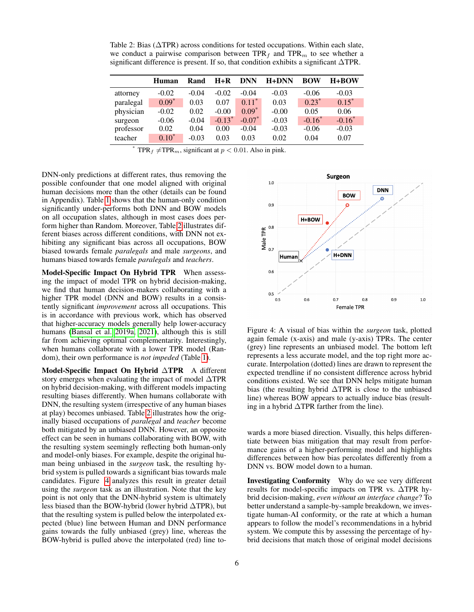<span id="page-5-0"></span>Table 2: Bias ( $\triangle$ TPR) across conditions for tested occupations. Within each slate, we conduct a pairwise comparison between  $TPR_f$  and  $TPR_m$  to see whether a significant difference is present. If so, that condition exhibits a significant ∆TPR.

|           | Human    | Rand    | $H+R$    | <b>DNN</b> | $H+DNN$ | <b>BOW</b> | $H+BOW$  |
|-----------|----------|---------|----------|------------|---------|------------|----------|
| attorney  | $-0.02$  | $-0.04$ | $-0.02$  | $-0.04$    | $-0.03$ | $-0.06$    | $-0.03$  |
| paralegal | $0.09*$  | 0.03    | 0.07     | $0.11^*$   | 0.03    | $0.23^*$   | $0.15*$  |
| physician | $-0.02$  | 0.02    | $-0.00$  | $0.09*$    | $-0.00$ | 0.05       | 0.06     |
| surgeon   | $-0.06$  | $-0.04$ | $-0.13*$ | $-0.07^*$  | $-0.03$ | $-0.16^*$  | $-0.16*$ |
| professor | 0.02     | 0.04    | 0.00     | $-0.04$    | $-0.03$ | $-0.06$    | $-0.03$  |
| teacher   | $0.10^*$ | $-0.03$ | 0.03     | 0.03       | 0.02    | 0.04       | 0.07     |

TPR<sub>f</sub>  $\neq$ TPR<sub>m</sub>, significant at  $p < 0.01$ . Also in pink.

DNN-only predictions at different rates, thus removing the possible confounder that one model aligned with original human decisions more than the other (details can be found in Appendix). Table [1](#page-4-0) shows that the human-only condition significantly under-performs both DNN and BOW models on all occupation slates, although in most cases does perform higher than Random. Moreover, Table [2](#page-5-0) illustrates different biases across different conditions, with DNN not exhibiting any significant bias across all occupations, BOW biased towards female *paralegals* and male *surgeons*, and humans biased towards female *paralegals* and *teachers*.

Model-Specific Impact On Hybrid TPR When assessing the impact of model TPR on hybrid decision-making, we find that human decision-makers collaborating with a higher TPR model (DNN and BOW) results in a consistently significant *improvement* across all occupations. This is in accordance with previous work, which has observed that higher-accuracy models generally help lower-accuracy humans [\(Bansal et al. 2019a,](#page-7-2) [2021\)](#page-7-15), although this is still far from achieving optimal complementarity. Interestingly, when humans collaborate with a lower TPR model (Random), their own performance is *not impeded* (Table [1\)](#page-4-0).

Model-Specific Impact On Hybrid ∆TPR A different story emerges when evaluating the impact of model ∆TPR on hybrid decision-making, with different models impacting resulting biases differently. When humans collaborate with DNN, the resulting system (irrespective of any human biases at play) becomes unbiased. Table [2](#page-5-0) illustrates how the originally biased occupations of *paralegal* and *teacher* become both mitigated by an unbiased DNN. However, an opposite effect can be seen in humans collaborating with BOW, with the resulting system seemingly reflecting both human-only and model-only biases. For example, despite the original human being unbiased in the *surgeon* task, the resulting hybrid system is pulled towards a significant bias towards male candidates. Figure [4](#page-5-1) analyzes this result in greater detail using the *surgeon* task as an illustration. Note that the key point is not only that the DNN-hybrid system is ultimately less biased than the BOW-hybrid (lower hybrid ∆TPR), but that the resulting system is pulled below the interpolated expected (blue) line between Human and DNN performance gains towards the fully unbiased (grey) line, whereas the BOW-hybrid is pulled above the interpolated (red) line to-

<span id="page-5-1"></span>

Figure 4: A visual of bias within the *surgeon* task, plotted again female (x-axis) and male (y-axis) TPRs. The center (grey) line represents an unbiased model. The bottom left represents a less accurate model, and the top right more accurate. Interpolation (dotted) lines are drawn to represent the expected trendline if no consistent difference across hybrid conditions existed. We see that DNN helps mitigate human bias (the resulting hybrid ∆TPR is close to the unbiased line) whereas BOW appears to actually induce bias (resulting in a hybrid ∆TPR farther from the line).

wards a more biased direction. Visually, this helps differentiate between bias mitigation that may result from performance gains of a higher-performing model and highlights differences between how bias percolates differently from a DNN vs. BOW model down to a human.

Investigating Conformity Why do we see very different results for model-specific impacts on TPR vs. ∆TPR hybrid decision-making, *even without an interface change*? To better understand a sample-by-sample breakdown, we investigate human-AI conformity, or the rate at which a human appears to follow the model's recommendations in a hybrid system. We compute this by assessing the percentage of hybrid decisions that match those of original model decisions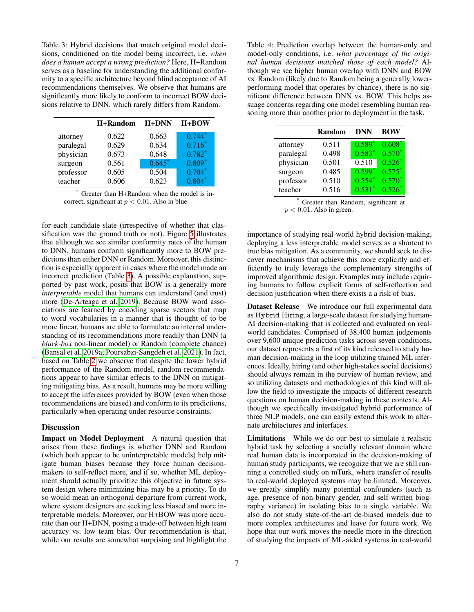<span id="page-6-0"></span>Table 3: Hybrid decisions that match original model decisions, conditioned on the model being incorrect, i.e. *when does a human accept a wrong prediction?* Here, H+Random serves as a baseline for understanding the additional conformity to a specific architecture beyond blind acceptance of AI recommendations themselves. We observe that humans are significantly more likely to conform to incorrect BOW decisions relative to DNN, which rarely differs from Random.

|           | H+Random | $H+DNN$  | $H + BOW$ |
|-----------|----------|----------|-----------|
| attorney  | 0.622    | 0.663    | $0.744*$  |
| paralegal | 0.629    | 0.634    | $0.716*$  |
| physician | 0.673    | 0.648    | $0.782*$  |
| surgeon   | 0.561    | $0.645*$ | $0.809*$  |
| professor | 0.605    | 0.504    | $0.704*$  |
| teacher   | 0.606    | 0.623    | $0.804*$  |

Greater than H+Random when the model is incorrect, significant at  $p < 0.01$ . Also in blue.

for each candidate slate (irrespective of whether that classification was the ground truth or not). Figure [5](#page-7-16) illustrates that although we see similar conformity rates of the human to DNN, humans conform significantly more to BOW predictions than either DNN or Random. Moreover, this distinction is especially apparent in cases where the model made an incorrect prediction (Table [3\)](#page-6-0). A possible explanation, supported by past work, posits that BOW is a generally more *interpretable* model that humans can understand (and trust) more [\(De-Arteaga et al. 2019\)](#page-7-5). Because BOW word associations are learned by encoding sparse vectors that map to word vocabularies in a manner that is thought of to be more linear, humans are able to formulate an internal understanding of its recommendations more readily than DNN (a *black-box* non-linear model) or Random (complete chance) [\(Bansal et al. 2019a;](#page-7-2) [Poursabzi-Sangdeh et al. 2021\)](#page-8-23). In fact, based on Table [2](#page-5-0) we observe that despite the lower hybrid performance of the Random model, random recommendations appear to have similar effects to the DNN on mitigating mitigating bias. As a result, humans may be more willing to accept the inferences provided by BOW (even when those recommendations are biased) and conform to its predictions, particularly when operating under resource constraints.

## **Discussion**

Impact on Model Deployment A natural question that arises from these findings is whether DNN and Random (which both appear to be uninterpretable models) help mitigate human biases because they force human decisionmakers to self-reflect more, and if so, whether ML deployment should actually prioritize this objective in future system design where minimizing bias may be a priority. To do so would mean an orthogonal departure from current work, where system designers are seeking less biased and more interpretable models. Moreover, our H+BOW was more accurate than our H+DNN, posing a trade-off between high team accuracy vs. low team bias. Our recommendation is that, while our results are somewhat surprising and highlight the Table 4: Prediction overlap between the human-only and model-only conditions, i.e. *what percentage of the original human decisions matched those of each model?* Although we see higher human overlap with DNN and BOW vs. Random (likely due to Random being a generally lowerperforming model that operates by chance), there is no significant difference between DNN vs. BOW. This helps assuage concerns regarding one model resembling human reasoning more than another prior to deployment in the task.

|           | <b>Random</b> | DNN      | <b>BOW</b> |
|-----------|---------------|----------|------------|
| attorney  | 0.511         | $0.589*$ | $0.608*$   |
| paralegal | 0.498         | $0.583*$ | $0.570*$   |
| physician | 0.501         | 0.510    | $0.526*$   |
| surgeon   | 0.485         | $0.599*$ | $0.575*$   |
| professor | 0.510         | $0.554*$ | $0.570*$   |
| teacher   | 0.516         | $0.531*$ | $0.526*$   |

Greater than Random, significant at  $p < 0.01$ . Also in green.

importance of studying real-world hybrid decision-making, deploying a less interpretable model serves as a shortcut to true bias mitigation. As a community, we should seek to discover mechanisms that achieve this more explicitly and efficiently to truly leverage the complementary strengths of improved algorithmic design. Examples may include requiring humans to follow explicit forms of self-reflection and decision justification when there exists a a risk of bias.

Dataset Release We introduce our full experimental data as Hybrid Hiring, a large-scale dataset for studying human-AI decision-making that is collected and evaluated on realworld candidates. Comprised of 38,400 human judgements over 9,600 unique prediction tasks across seven conditions, our dataset represents a first of its kind released to study human decision-making in the loop utilizing trained ML inferences. Ideally, hiring (and other high-stakes social decisions) should always remain in the purview of human review, and so utilizing datasets and methodologies of this kind will allow the field to investigate the impacts of different research questions on human decision-making in these contexts. Although we specifically investigated hybrid performance of three NLP models, one can easily extend this work to alternate architectures and interfaces.

Limitations While we do our best to simulate a realistic hybrid task by selecting a socially relevant domain where real human data is incorporated in the decision-making of human study participants, we recognize that we are still running a controlled study on mTurk, where transfer of results to real-world deployed systems may be limited. Moreover, we greatly simplify many potential confounders (such as age, presence of non-binary gender, and self-written biography variance) in isolating bias to a single variable. We also do not study state-of-the-art de-biased models due to more complex architectures and leave for future work. We hope that our work moves the needle more in the direction of studying the impacts of ML-aided systems in real-world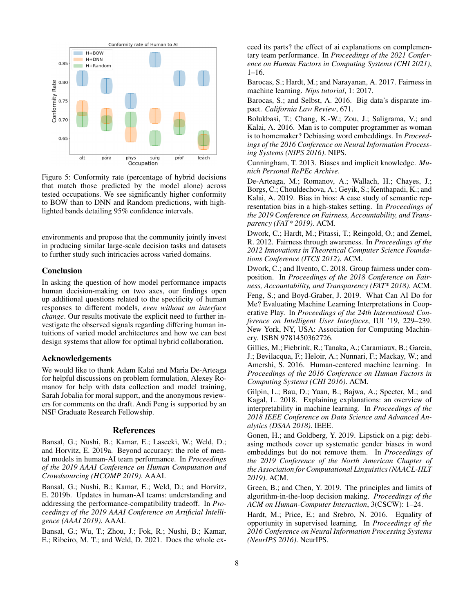<span id="page-7-16"></span>

Figure 5: Conformity rate (percentage of hybrid decisions that match those predicted by the model alone) across tested occupations. We see significantly higher conformity to BOW than to DNN and Random predictions, with highlighted bands detailing 95% confidence intervals.

environments and propose that the community jointly invest in producing similar large-scale decision tasks and datasets to further study such intricacies across varied domains.

# Conclusion

In asking the question of how model performance impacts human decision-making on two axes, our findings open up additional questions related to the specificity of human responses to different models, *even without an interface change*. Our results motivate the explicit need to further investigate the observed signals regarding differing human intuitions of varied model architectures and how we can best design systems that allow for optimal hybrid collaboration.

### Acknowledgements

We would like to thank Adam Kalai and Maria De-Arteaga for helpful discussions on problem formulation, Alexey Romanov for help with data collection and model training, Sarah Jobalia for moral support, and the anonymous reviewers for comments on the draft. Andi Peng is supported by an NSF Graduate Research Fellowship.

# References

<span id="page-7-2"></span>Bansal, G.; Nushi, B.; Kamar, E.; Lasecki, W.; Weld, D.; and Horvitz, E. 2019a. Beyond accuracy: the role of mental models in human-AI team performance. In *Proceedings of the 2019 AAAI Conference on Human Computation and Crowdsourcing (HCOMP 2019)*. AAAI.

<span id="page-7-12"></span>Bansal, G.; Nushi, B.; Kamar, E.; Weld, D.; and Horvitz, E. 2019b. Updates in human-AI teams: understanding and addressing the performance-compatibility tradeoff. In *Proceedings of the 2019 AAAI Conference on Artificial Intelligence (AAAI 2019)*. AAAI.

<span id="page-7-15"></span>Bansal, G.; Wu, T.; Zhou, J.; Fok, R.; Nushi, B.; Kamar, E.; Ribeiro, M. T.; and Weld, D. 2021. Does the whole ex-

ceed its parts? the effect of ai explanations on complementary team performance. In *Proceedings of the 2021 Conference on Human Factors in Computing Systems (CHI 2021)*, 1–16.

<span id="page-7-1"></span>Barocas, S.; Hardt, M.; and Narayanan, A. 2017. Fairness in machine learning. *Nips tutorial*, 1: 2017.

<span id="page-7-6"></span>Barocas, S.; and Selbst, A. 2016. Big data's disparate impact. *California Law Review*, 671.

<span id="page-7-14"></span>Bolukbasi, T.; Chang, K.-W.; Zou, J.; Saligrama, V.; and Kalai, A. 2016. Man is to computer programmer as woman is to homemaker? Debiasing word embeddings. In *Proceedings of the 2016 Conference on Neural Information Processing Systems (NIPS 2016)*. NIPS.

<span id="page-7-11"></span>Cunningham, T. 2013. Biases and implicit knowledge. *Munich Personal RePEc Archive*.

<span id="page-7-5"></span>De-Arteaga, M.; Romanov, A.; Wallach, H.; Chayes, J.; Borgs, C.; Chouldechova, A.; Geyik, S.; Kenthapadi, K.; and Kalai, A. 2019. Bias in bios: A case study of semantic representation bias in a high-stakes setting. In *Proceedings of the 2019 Conference on Fairness, Accountability, and Transparency (FAT\* 2019)*. ACM.

<span id="page-7-7"></span>Dwork, C.; Hardt, M.; Pitassi, T.; Reingold, O.; and Zemel, R. 2012. Fairness through awareness. In *Proceedings of the 2012 Innovations in Theoretical Computer Science Foundations Conference (ITCS 2012)*. ACM.

<span id="page-7-9"></span><span id="page-7-4"></span>Dwork, C.; and Ilvento, C. 2018. Group fairness under composition. In *Proceedings of the 2018 Conference on Fairness, Accountability, and Transparency (FAT\* 2018)*. ACM. Feng, S.; and Boyd-Graber, J. 2019. What Can AI Do for Me? Evaluating Machine Learning Interpretations in Cooperative Play. In *Proceedings of the 24th International Conference on Intelligent User Interfaces*, IUI '19, 229–239. New York, NY, USA: Association for Computing Machinery. ISBN 9781450362726.

<span id="page-7-0"></span>Gillies, M.; Fiebrink, R.; Tanaka, A.; Caramiaux, B.; Garcia, J.; Bevilacqua, F.; Heloir, A.; Nunnari, F.; Mackay, W.; and Amershi, S. 2016. Human-centered machine learning. In *Proceedings of the 2016 Conference on Human Factors in Computing Systems (CHI 2016)*. ACM.

<span id="page-7-13"></span>Gilpin, L.; Bau, D.; Yuan, B.; Bajwa, A.; Specter, M.; and Kagal, L. 2018. Explaining explanations: an overview of interpretability in machine learning. In *Proceedings of the 2018 IEEE Conference on Data Science and Advanced Analytics (DSAA 2018)*. IEEE.

<span id="page-7-10"></span>Gonen, H.; and Goldberg, Y. 2019. Lipstick on a pig: debiasing methods cover up systematic gender biases in word embeddings but do not remove them. In *Proceedings of the 2019 Conference of the North American Chapter of the Association for Computational Linguistics (NAACL-HLT 2019)*. ACM.

<span id="page-7-3"></span>Green, B.; and Chen, Y. 2019. The principles and limits of algorithm-in-the-loop decision making. *Proceedings of the ACM on Human-Computer Interaction*, 3(CSCW): 1–24.

<span id="page-7-8"></span>Hardt, M.; Price, E.; and Srebro, N. 2016. Equality of opportunity in supervised learning. In *Proceedings of the 2016 Conference on Neural Information Processing Systems (NeurIPS 2016)*. NeurIPS.